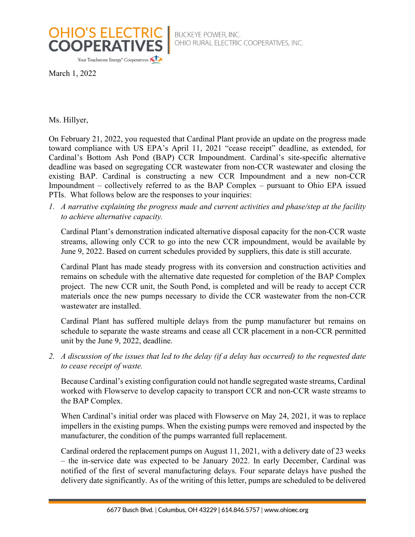

BUCKEYE POWER, INC.<br>OHIO RURAL ELECTRIC COOPERATIVES, INC.

March 1, 2022

Ms. Hillyer,

On February 21, 2022, you requested that Cardinal Plant provide an update on the progress made toward compliance with US EPA's April 11, 2021 "cease receipt" deadline, as extended, for Cardinal's Bottom Ash Pond (BAP) CCR Impoundment. Cardinal's site-specific alternative deadline was based on segregating CCR wastewater from non-CCR wastewater and closing the existing BAP. Cardinal is constructing a new CCR Impoundment and a new non-CCR Impoundment – collectively referred to as the BAP Complex – pursuant to Ohio EPA issued PTIs. What follows below are the responses to your inquiries:

*1. A narrative explaining the progress made and current activities and phase/step at the facility to achieve alternative capacity.*

Cardinal Plant's demonstration indicated alternative disposal capacity for the non-CCR waste streams, allowing only CCR to go into the new CCR impoundment, would be available by June 9, 2022. Based on current schedules provided by suppliers, this date is still accurate.

Cardinal Plant has made steady progress with its conversion and construction activities and remains on schedule with the alternative date requested for completion of the BAP Complex project. The new CCR unit, the South Pond, is completed and will be ready to accept CCR materials once the new pumps necessary to divide the CCR wastewater from the non-CCR wastewater are installed.

Cardinal Plant has suffered multiple delays from the pump manufacturer but remains on schedule to separate the waste streams and cease all CCR placement in a non-CCR permitted unit by the June 9, 2022, deadline.

*2. A discussion of the issues that led to the delay (if a delay has occurred) to the requested date to cease receipt of waste.*

Because Cardinal's existing configuration could not handle segregated waste streams, Cardinal worked with Flowserve to develop capacity to transport CCR and non-CCR waste streams to the BAP Complex.

When Cardinal's initial order was placed with Flowserve on May 24, 2021, it was to replace impellers in the existing pumps. When the existing pumps were removed and inspected by the manufacturer, the condition of the pumps warranted full replacement.

Cardinal ordered the replacement pumps on August 11, 2021, with a delivery date of 23 weeks – the in-service date was expected to be January 2022. In early December, Cardinal was notified of the first of several manufacturing delays. Four separate delays have pushed the delivery date significantly. As of the writing of this letter, pumps are scheduled to be delivered